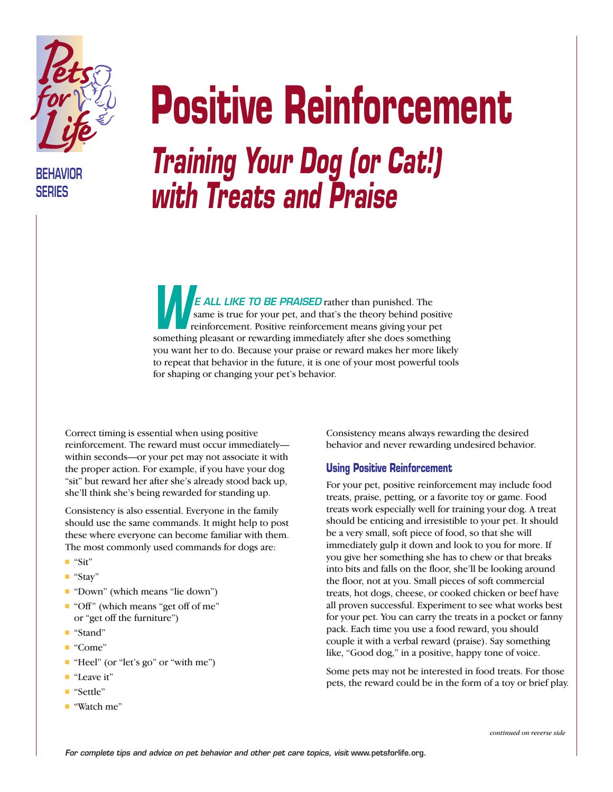

**BEHAVIOR SERIES**

## **Positive Reinforcement** *Training Your Dog (or Cat!) with Treats and Praise*

*E ALL LIKE TO BE PRAISED* rather than punished. The same is true for your pet, and that's the theory behind positive reinforcement. Positive reinforcement means giving your pet **EALL LINE TO BE PHAISED** Tather than punished. The same is true for your pet, and that's the theory behind positive reinforcement. Positive reinforcement means giving your pet something pleasant or rewarding immediately a you want her to do. Because your praise or reward makes her more likely to repeat that behavior in the future, it is one of your most powerful tools for shaping or changing your pet's behavior.

Correct timing is essential when using positive reinforcement. The reward must occur immediately within seconds—or your pet may not associate it with the proper action. For example, if you have your dog "sit" but reward her after she's already stood back up, she'll think she's being rewarded for standing up.

Consistency is also essential. Everyone in the family should use the same commands. It might help to post these where everyone can become familiar with them. The most commonly used commands for dogs are:

- "Sit"
- "Stay"
- "Down" (which means "lie down")
- "Off" (which means "get off of me" or "get off the furniture")
- "Stand"
- "Come"
- "Heel" (or "let's go" or "with me")
- "Leave it"
- "Settle"
- "Watch me"

Consistency means always rewarding the desired behavior and never rewarding undesired behavior.

## **Using Positive Reinforcement**

For your pet, positive reinforcement may include food treats, praise, petting, or a favorite toy or game. Food treats work especially well for training your dog. A treat should be enticing and irresistible to your pet. It should be a very small, soft piece of food, so that she will immediately gulp it down and look to you for more. If you give her something she has to chew or that breaks into bits and falls on the floor, she'll be looking around the floor, not at you. Small pieces of soft commercial treats, hot dogs, cheese, or cooked chicken or beef have all proven successful. Experiment to see what works best for your pet. You can carry the treats in a pocket or fanny pack. Each time you use a food reward, you should couple it with a verbal reward (praise). Say something like, "Good dog," in a positive, happy tone of voice.

Some pets may not be interested in food treats. For those pets, the reward could be in the form of a toy or brief play.